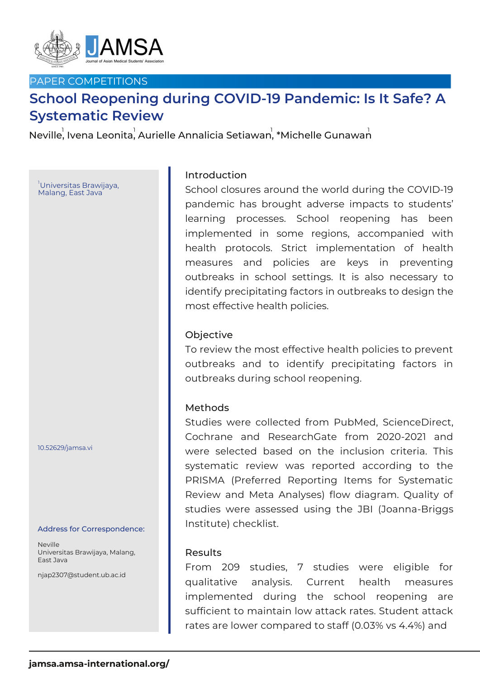

# PAPER COMPETITIONS

# **School Reopening during COVID-19 Pandemic: Is It Safe? A Systematic Review**

Neville, Ivena Leonita, Aurielle Annalicia Setiawan, \*Michelle Gunawan

<sup>1</sup>Universitas Brawijaya, Malang, East Java

10.52629/jamsa.vi

#### Address for Correspondence:

Neville Universitas Brawijaya, Malang, East Java

njap2307@student.ub.ac.id

# Introduction

School closures around the world during the COVID-19 pandemic has brought adverse impacts to students' learning processes. School reopening has been implemented in some regions, accompanied with health protocols. Strict implementation of health measures and policies are keys in preventing outbreaks in school settings. It is also necessary to identify precipitating factors in outbreaks to design the most effective health policies.

### Objective

To review the most effective health policies to prevent outbreaks and to identify precipitating factors in outbreaks during school reopening.

#### Methods

Studies were collected from PubMed, ScienceDirect, Cochrane and ResearchGate from 2020-2021 and were selected based on the inclusion criteria. This systematic review was reported according to the PRISMA (Preferred Reporting Items for Systematic Review and Meta Analyses) flow diagram. Quality of studies were assessed using the JBI (Joanna-Briggs Institute) checklist.

#### Results

From 209 studies, 7 studies were eligible for qualitative analysis. Current health measures implemented during the school reopening are sufficient to maintain low attack rates. Student attack rates are lower compared to staff (0.03% vs 4.4%) and